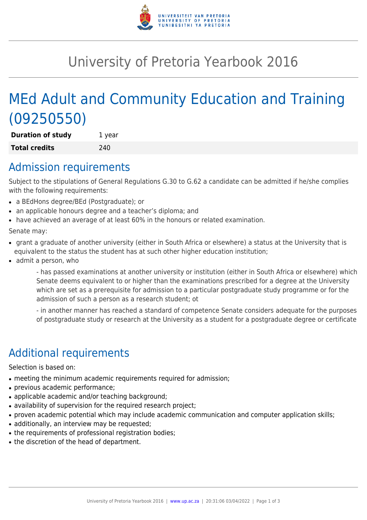

## University of Pretoria Yearbook 2016

# MEd Adult and Community Education and Training (09250550)

**Duration of study** 1 year **Total credits** 240

#### Admission requirements

Subject to the stipulations of General Regulations G.30 to G.62 a candidate can be admitted if he/she complies with the following requirements:

- a BEdHons degree/BEd (Postgraduate); or
- an applicable honours degree and a teacher's diploma; and
- have achieved an average of at least 60% in the honours or related examination.

Senate may:

- grant a graduate of another university (either in South Africa or elsewhere) a status at the University that is equivalent to the status the student has at such other higher education institution;
- admit a person, who

- has passed examinations at another university or institution (either in South Africa or elsewhere) which Senate deems equivalent to or higher than the examinations prescribed for a degree at the University which are set as a prerequisite for admission to a particular postgraduate study programme or for the admission of such a person as a research student; ot

- in another manner has reached a standard of competence Senate considers adequate for the purposes of postgraduate study or research at the University as a student for a postgraduate degree or certificate

### Additional requirements

Selection is based on:

- meeting the minimum academic requirements required for admission;
- previous academic performance;
- applicable academic and/or teaching background;
- availability of supervision for the required research project;
- proven academic potential which may include academic communication and computer application skills;
- additionally, an interview may be requested;
- the requirements of professional registration bodies;
- the discretion of the head of department.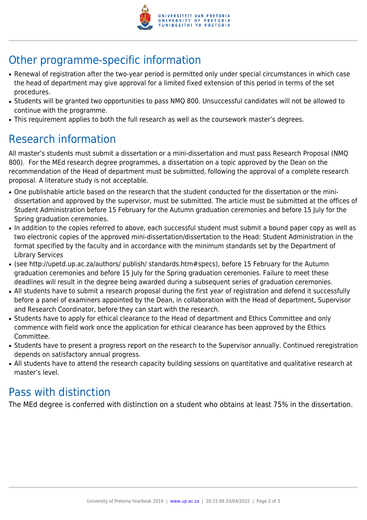

### Other programme-specific information

- Renewal of registration after the two-year period is permitted only under special circumstances in which case the head of department may give approval for a limited fixed extension of this period in terms of the set procedures.
- Students will be granted two opportunities to pass NMQ 800. Unsuccessful candidates will not be allowed to continue with the programme.
- This requirement applies to both the full research as well as the coursework master's degrees.

#### Research information

All master's students must submit a dissertation or a mini-dissertation and must pass Research Proposal (NMQ 800). For the MEd research degree programmes, a dissertation on a topic approved by the Dean on the recommendation of the Head of department must be submitted, following the approval of a complete research proposal. A literature study is not acceptable.

- One publishable article based on the research that the student conducted for the dissertation or the minidissertation and approved by the supervisor, must be submitted. The article must be submitted at the offices of Student Administration before 15 February for the Autumn graduation ceremonies and before 15 July for the Spring graduation ceremonies.
- In addition to the copies referred to above, each successful student must submit a bound paper copy as well as two electronic copies of the approved mini-dissertation/dissertation to the Head: Student Administration in the format specified by the faculty and in accordance with the minimum standards set by the Department of Library Services
- (see http://upetd.up.ac.za/authors/ publish/ standards.htm#specs), before 15 February for the Autumn graduation ceremonies and before 15 July for the Spring graduation ceremonies. Failure to meet these deadlines will result in the degree being awarded during a subsequent series of graduation ceremonies.
- All students have to submit a research proposal during the first year of registration and defend it successfully before a panel of examiners appointed by the Dean, in collaboration with the Head of department, Supervisor and Research Coordinator, before they can start with the research.
- Students have to apply for ethical clearance to the Head of department and Ethics Committee and only commence with field work once the application for ethical clearance has been approved by the Ethics Committee.
- Students have to present a progress report on the research to the Supervisor annually. Continued reregistration depends on satisfactory annual progress.
- All students have to attend the research capacity building sessions on quantitative and qualitative research at master's level.

#### Pass with distinction

The MEd degree is conferred with distinction on a student who obtains at least 75% in the dissertation.